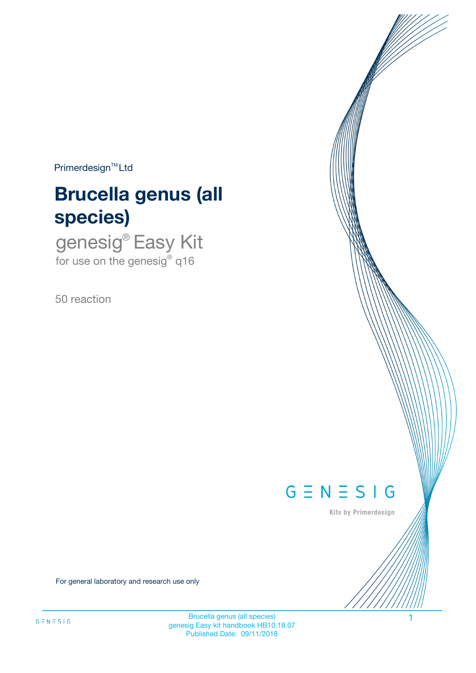$Primerdesign^{\text{TM}}Ltd$ 

# **Brucella genus (all species)**

genesig® Easy Kit for use on the genesig® q16

50 reaction



Kits by Primerdesign

For general laboratory and research use only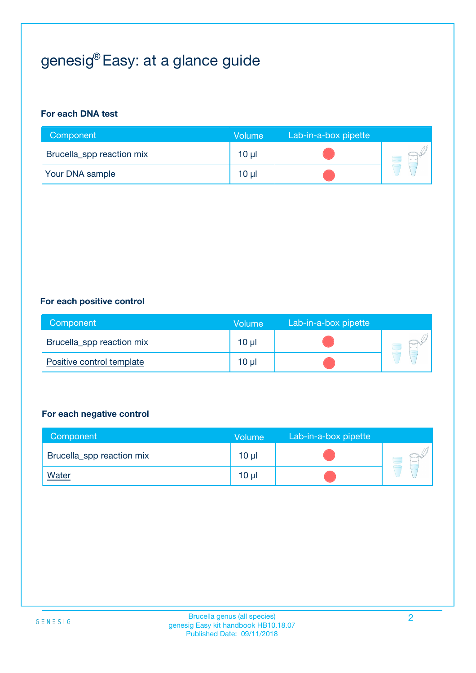# genesig® Easy: at a glance guide

#### **For each DNA test**

| Component                 | <b>Volume</b> | Lab-in-a-box pipette |  |
|---------------------------|---------------|----------------------|--|
| Brucella_spp reaction mix | $10 \mu$      |                      |  |
| <b>Your DNA sample</b>    | 10 µl         |                      |  |

#### **For each positive control**

| Component                 | Volume          | Lab-in-a-box pipette |  |
|---------------------------|-----------------|----------------------|--|
| Brucella_spp reaction mix | $10 \mu$        |                      |  |
| Positive control template | 10 <sub>µ</sub> |                      |  |

#### **For each negative control**

| Component                 | Volume          | Lab-in-a-box pipette |  |
|---------------------------|-----------------|----------------------|--|
| Brucella_spp reaction mix | 10 <sub>µ</sub> |                      |  |
| <u>Water</u>              | 10 <sub>µ</sub> |                      |  |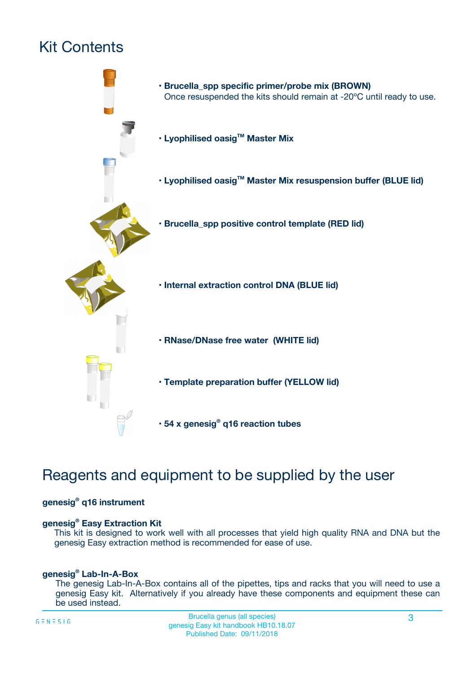# Kit Contents



## Reagents and equipment to be supplied by the user

#### **genesig® q16 instrument**

#### **genesig® Easy Extraction Kit**

This kit is designed to work well with all processes that yield high quality RNA and DNA but the genesig Easy extraction method is recommended for ease of use.

#### **genesig® Lab-In-A-Box**

The genesig Lab-In-A-Box contains all of the pipettes, tips and racks that you will need to use a genesig Easy kit. Alternatively if you already have these components and equipment these can be used instead.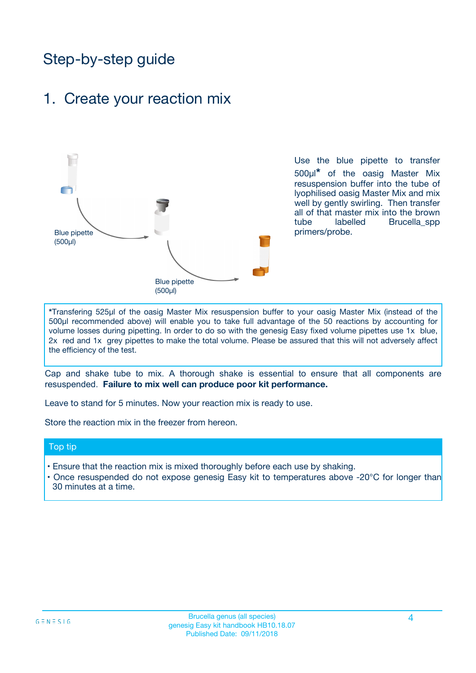## Step-by-step guide

### 1. Create your reaction mix



Use the blue pipette to transfer 500µl**\*** of the oasig Master Mix resuspension buffer into the tube of lyophilised oasig Master Mix and mix well by gently swirling. Then transfer all of that master mix into the brown tube labelled Brucella spp primers/probe.

**\***Transfering 525µl of the oasig Master Mix resuspension buffer to your oasig Master Mix (instead of the 500µl recommended above) will enable you to take full advantage of the 50 reactions by accounting for volume losses during pipetting. In order to do so with the genesig Easy fixed volume pipettes use 1x blue, 2x red and 1x grey pipettes to make the total volume. Please be assured that this will not adversely affect the efficiency of the test.

Cap and shake tube to mix. A thorough shake is essential to ensure that all components are resuspended. **Failure to mix well can produce poor kit performance.**

Leave to stand for 5 minutes. Now your reaction mix is ready to use.

Store the reaction mix in the freezer from hereon.

#### Top tip

- Ensure that the reaction mix is mixed thoroughly before each use by shaking.
- Once resuspended do not expose genesig Easy kit to temperatures above -20°C for longer than 30 minutes at a time.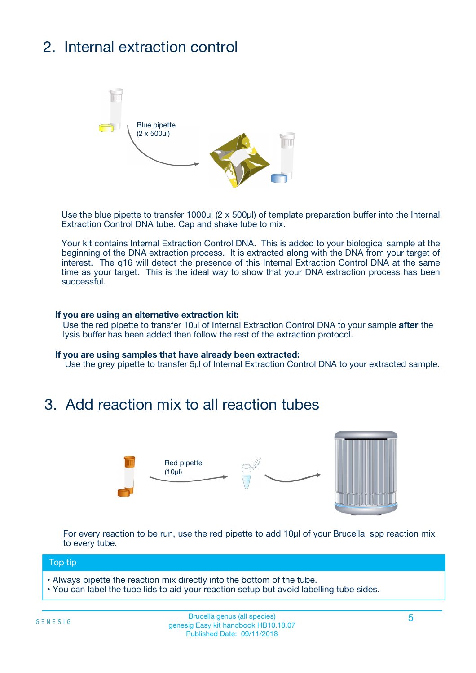# 2. Internal extraction control



Use the blue pipette to transfer 1000µl (2 x 500µl) of template preparation buffer into the Internal Extraction Control DNA tube. Cap and shake tube to mix.

Your kit contains Internal Extraction Control DNA. This is added to your biological sample at the beginning of the DNA extraction process. It is extracted along with the DNA from your target of interest. The q16 will detect the presence of this Internal Extraction Control DNA at the same time as your target. This is the ideal way to show that your DNA extraction process has been successful.

#### **If you are using an alternative extraction kit:**

Use the red pipette to transfer 10µl of Internal Extraction Control DNA to your sample **after** the lysis buffer has been added then follow the rest of the extraction protocol.

#### **If you are using samples that have already been extracted:**

Use the grey pipette to transfer 5µl of Internal Extraction Control DNA to your extracted sample.

## 3. Add reaction mix to all reaction tubes



For every reaction to be run, use the red pipette to add 10µl of your Brucella spp reaction mix to every tube.

#### Top tip

- Always pipette the reaction mix directly into the bottom of the tube.
- You can label the tube lids to aid your reaction setup but avoid labelling tube sides.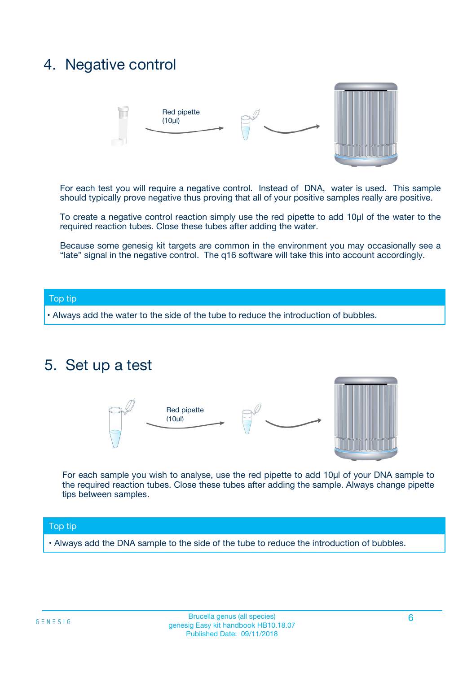## 4. Negative control



For each test you will require a negative control. Instead of DNA, water is used. This sample should typically prove negative thus proving that all of your positive samples really are positive.

To create a negative control reaction simply use the red pipette to add 10µl of the water to the required reaction tubes. Close these tubes after adding the water.

Because some genesig kit targets are common in the environment you may occasionally see a "late" signal in the negative control. The q16 software will take this into account accordingly.

#### Top tip

**•** Always add the water to the side of the tube to reduce the introduction of bubbles.

### 5. Set up a test



For each sample you wish to analyse, use the red pipette to add 10µl of your DNA sample to the required reaction tubes. Close these tubes after adding the sample. Always change pipette tips between samples.

#### Top tip

**•** Always add the DNA sample to the side of the tube to reduce the introduction of bubbles.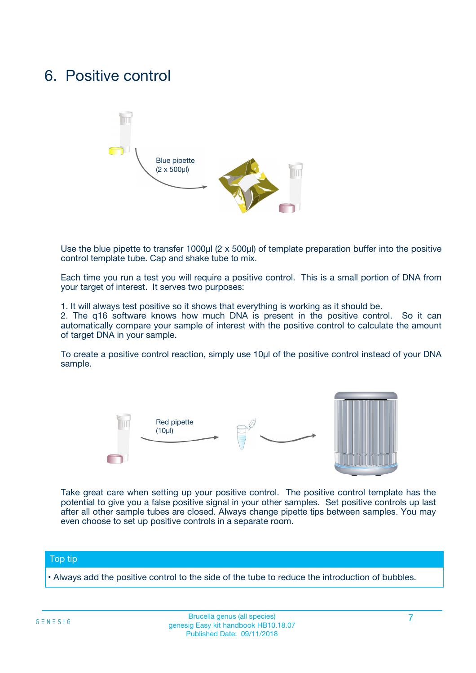## 6. Positive control



Use the blue pipette to transfer 1000µl (2 x 500µl) of template preparation buffer into the positive control template tube. Cap and shake tube to mix.

Each time you run a test you will require a positive control. This is a small portion of DNA from your target of interest. It serves two purposes:

1. It will always test positive so it shows that everything is working as it should be.

2. The q16 software knows how much DNA is present in the positive control. So it can automatically compare your sample of interest with the positive control to calculate the amount of target DNA in your sample.

To create a positive control reaction, simply use 10µl of the positive control instead of your DNA sample.



Take great care when setting up your positive control. The positive control template has the potential to give you a false positive signal in your other samples. Set positive controls up last after all other sample tubes are closed. Always change pipette tips between samples. You may even choose to set up positive controls in a separate room.

#### Top tip

**•** Always add the positive control to the side of the tube to reduce the introduction of bubbles.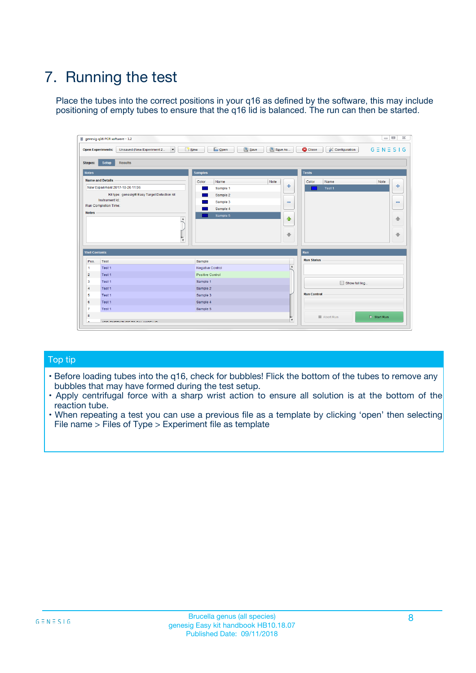# 7. Running the test

Place the tubes into the correct positions in your q16 as defined by the software, this may include positioning of empty tubes to ensure that the q16 lid is balanced. The run can then be started.

| genesig q16 PCR software - 1.2                                               |                                | $\begin{array}{c c c c} \hline \multicolumn{3}{c }{\textbf{0}} & \multicolumn{3}{c }{\textbf{0}} \end{array}$ |                              |
|------------------------------------------------------------------------------|--------------------------------|---------------------------------------------------------------------------------------------------------------|------------------------------|
| $\vert \cdot \vert$<br><b>Open Experiments:</b><br>Unsaved (New Experiment 2 | Open<br>Save<br>$\sqrt{9}$ New | Save As<br><b>C</b> Close<br>$G \equiv N \equiv S \mid G$<br><b>X</b> Configuration                           |                              |
| Setup<br><b>Results</b><br><b>Stages:</b>                                    |                                |                                                                                                               |                              |
| <b>Notes</b>                                                                 | <b>Samples</b>                 | <b>Tests</b>                                                                                                  |                              |
| <b>Name and Details</b>                                                      | Color<br>Name                  | Note<br>Color<br>Note<br>Name                                                                                 |                              |
| New Experiment 2017-10-26 11:06                                              | Sample 1                       | ÷<br>Test <sub>1</sub>                                                                                        | ÷                            |
| Kit type: genesig® Easy Target Detection kit                                 | Sample 2                       |                                                                                                               |                              |
| Instrument Id.:                                                              | Sample 3                       | $\qquad \qquad \blacksquare$                                                                                  | $\qquad \qquad \blacksquare$ |
| <b>Run Completion Time:</b>                                                  | Sample 4                       |                                                                                                               |                              |
| <b>Notes</b><br>A<br>⊺៴                                                      | Sample 5                       | $\triangle$<br>$\oplus$                                                                                       | 借<br>₩                       |
| <b>Well Contents</b>                                                         |                                | Run                                                                                                           |                              |
| Pos.<br><b>Test</b>                                                          | Sample                         | <b>Run Status</b>                                                                                             |                              |
| Test 1<br>-1                                                                 | <b>Negative Control</b>        | $\blacktriangle$                                                                                              |                              |
| $\overline{2}$<br>Test 1                                                     | <b>Positive Control</b>        |                                                                                                               |                              |
| 3<br>Test 1                                                                  | Sample 1                       | Show full log                                                                                                 |                              |
| Test 1<br>$\overline{4}$                                                     | Sample 2                       |                                                                                                               |                              |
| 5<br>Test 1                                                                  | Sample 3                       | <b>Run Control</b>                                                                                            |                              |
| Test 1<br>6                                                                  | Sample 4                       |                                                                                                               |                              |
| $\overline{7}$<br>Test 1                                                     | Sample 5                       |                                                                                                               |                              |
| 8                                                                            |                                | $\triangleright$ Start Run<br>Abort Run                                                                       |                              |
| <b>JOD FURTY TUDE TO BUILDED IN</b>                                          |                                | $\overline{\mathbf{v}}$                                                                                       |                              |

#### Top tip

- Before loading tubes into the q16, check for bubbles! Flick the bottom of the tubes to remove any bubbles that may have formed during the test setup.
- Apply centrifugal force with a sharp wrist action to ensure all solution is at the bottom of the reaction tube.
- When repeating a test you can use a previous file as a template by clicking 'open' then selecting File name > Files of Type > Experiment file as template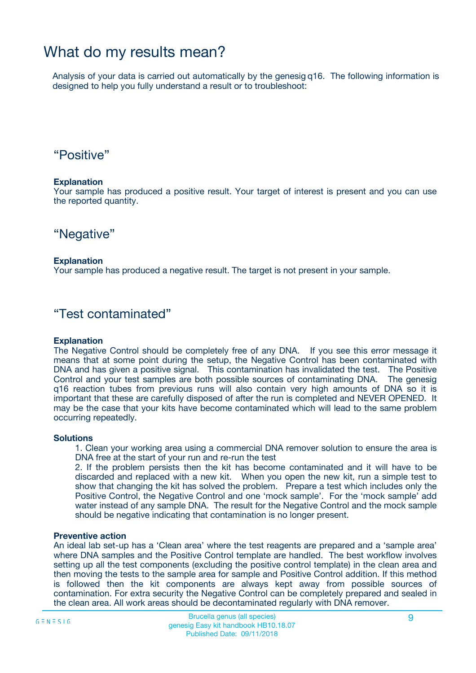## What do my results mean?

Analysis of your data is carried out automatically by the genesig q16. The following information is designed to help you fully understand a result or to troubleshoot:

### "Positive"

#### **Explanation**

Your sample has produced a positive result. Your target of interest is present and you can use the reported quantity.

"Negative"

#### **Explanation**

Your sample has produced a negative result. The target is not present in your sample.

### "Test contaminated"

#### **Explanation**

The Negative Control should be completely free of any DNA. If you see this error message it means that at some point during the setup, the Negative Control has been contaminated with DNA and has given a positive signal. This contamination has invalidated the test. The Positive Control and your test samples are both possible sources of contaminating DNA. The genesig q16 reaction tubes from previous runs will also contain very high amounts of DNA so it is important that these are carefully disposed of after the run is completed and NEVER OPENED. It may be the case that your kits have become contaminated which will lead to the same problem occurring repeatedly.

#### **Solutions**

1. Clean your working area using a commercial DNA remover solution to ensure the area is DNA free at the start of your run and re-run the test

2. If the problem persists then the kit has become contaminated and it will have to be discarded and replaced with a new kit. When you open the new kit, run a simple test to show that changing the kit has solved the problem. Prepare a test which includes only the Positive Control, the Negative Control and one 'mock sample'. For the 'mock sample' add water instead of any sample DNA. The result for the Negative Control and the mock sample should be negative indicating that contamination is no longer present.

#### **Preventive action**

An ideal lab set-up has a 'Clean area' where the test reagents are prepared and a 'sample area' where DNA samples and the Positive Control template are handled. The best workflow involves setting up all the test components (excluding the positive control template) in the clean area and then moving the tests to the sample area for sample and Positive Control addition. If this method is followed then the kit components are always kept away from possible sources of contamination. For extra security the Negative Control can be completely prepared and sealed in the clean area. All work areas should be decontaminated regularly with DNA remover.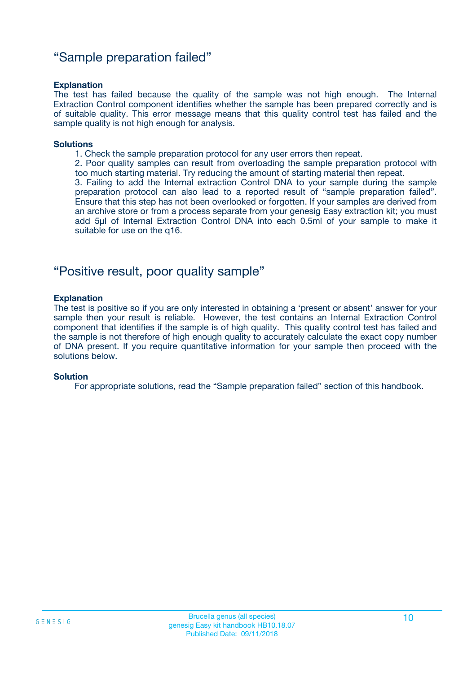### "Sample preparation failed"

#### **Explanation**

The test has failed because the quality of the sample was not high enough. The Internal Extraction Control component identifies whether the sample has been prepared correctly and is of suitable quality. This error message means that this quality control test has failed and the sample quality is not high enough for analysis.

#### **Solutions**

1. Check the sample preparation protocol for any user errors then repeat.

2. Poor quality samples can result from overloading the sample preparation protocol with too much starting material. Try reducing the amount of starting material then repeat.

3. Failing to add the Internal extraction Control DNA to your sample during the sample preparation protocol can also lead to a reported result of "sample preparation failed". Ensure that this step has not been overlooked or forgotten. If your samples are derived from an archive store or from a process separate from your genesig Easy extraction kit; you must add 5µl of Internal Extraction Control DNA into each 0.5ml of your sample to make it suitable for use on the q16.

### "Positive result, poor quality sample"

#### **Explanation**

The test is positive so if you are only interested in obtaining a 'present or absent' answer for your sample then your result is reliable. However, the test contains an Internal Extraction Control component that identifies if the sample is of high quality. This quality control test has failed and the sample is not therefore of high enough quality to accurately calculate the exact copy number of DNA present. If you require quantitative information for your sample then proceed with the solutions below.

#### **Solution**

For appropriate solutions, read the "Sample preparation failed" section of this handbook.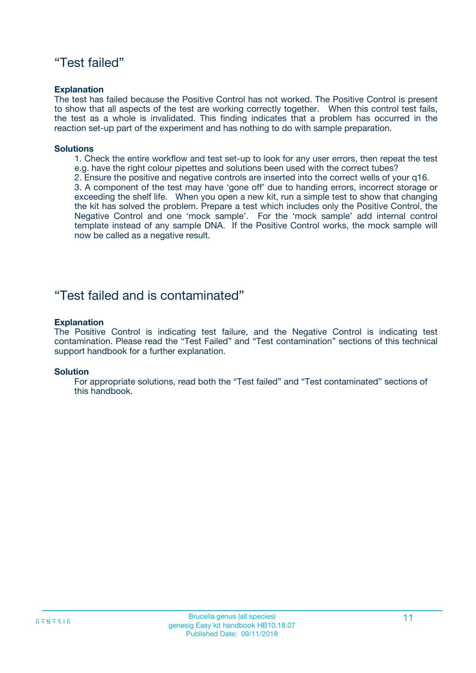### "Test failed"

#### **Explanation**

The test has failed because the Positive Control has not worked. The Positive Control is present to show that all aspects of the test are working correctly together. When this control test fails, the test as a whole is invalidated. This finding indicates that a problem has occurred in the reaction set-up part of the experiment and has nothing to do with sample preparation.

#### **Solutions**

- 1. Check the entire workflow and test set-up to look for any user errors, then repeat the test e.g. have the right colour pipettes and solutions been used with the correct tubes?
- 2. Ensure the positive and negative controls are inserted into the correct wells of your q16.

3. A component of the test may have 'gone off' due to handing errors, incorrect storage or exceeding the shelf life. When you open a new kit, run a simple test to show that changing the kit has solved the problem. Prepare a test which includes only the Positive Control, the Negative Control and one 'mock sample'. For the 'mock sample' add internal control template instead of any sample DNA. If the Positive Control works, the mock sample will now be called as a negative result.

### "Test failed and is contaminated"

#### **Explanation**

The Positive Control is indicating test failure, and the Negative Control is indicating test contamination. Please read the "Test Failed" and "Test contamination" sections of this technical support handbook for a further explanation.

#### **Solution**

For appropriate solutions, read both the "Test failed" and "Test contaminated" sections of this handbook.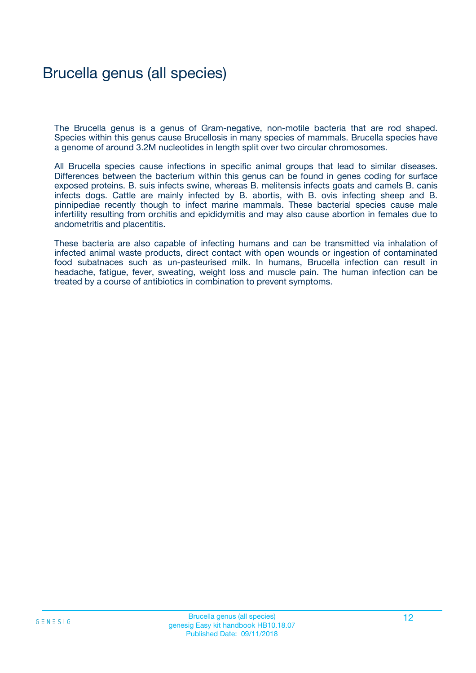## Brucella genus (all species)

The Brucella genus is a genus of Gram-negative, non-motile bacteria that are rod shaped. Species within this genus cause Brucellosis in many species of mammals. Brucella species have a genome of around 3.2M nucleotides in length split over two circular chromosomes.

All Brucella species cause infections in specific animal groups that lead to similar diseases. Differences between the bacterium within this genus can be found in genes coding for surface exposed proteins. B. suis infects swine, whereas B. melitensis infects goats and camels B. canis infects dogs. Cattle are mainly infected by B. abortis, with B. ovis infecting sheep and B. pinnipediae recently though to infect marine mammals. These bacterial species cause male infertility resulting from orchitis and epididymitis and may also cause abortion in females due to andometritis and placentitis.

These bacteria are also capable of infecting humans and can be transmitted via inhalation of infected animal waste products, direct contact with open wounds or ingestion of contaminated food subatnaces such as un-pasteurised milk. In humans, Brucella infection can result in headache, fatigue, fever, sweating, weight loss and muscle pain. The human infection can be treated by a course of antibiotics in combination to prevent symptoms.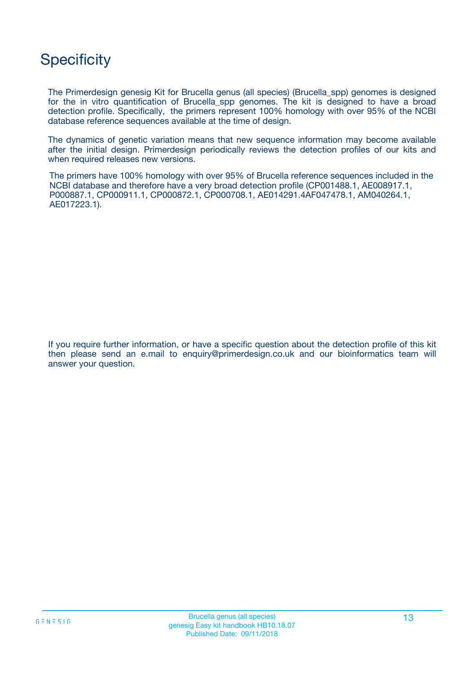## **Specificity**

The Primerdesign genesig Kit for Brucella genus (all species) (Brucella\_spp) genomes is designed for the in vitro quantification of Brucella spp genomes. The kit is designed to have a broad detection profile. Specifically, the primers represent 100% homology with over 95% of the NCBI database reference sequences available at the time of design.

The dynamics of genetic variation means that new sequence information may become available after the initial design. Primerdesign periodically reviews the detection profiles of our kits and when required releases new versions.

The primers have 100% homology with over 95% of Brucella reference sequences included in the NCBI database and therefore have a very broad detection profile (CP001488.1, AE008917.1, P000887.1, CP000911.1, CP000872.1, CP000708.1, AE014291.4AF047478.1, AM040264.1, AE017223.1).

If you require further information, or have a specific question about the detection profile of this kit then please send an e.mail to enquiry@primerdesign.co.uk and our bioinformatics team will answer your question.